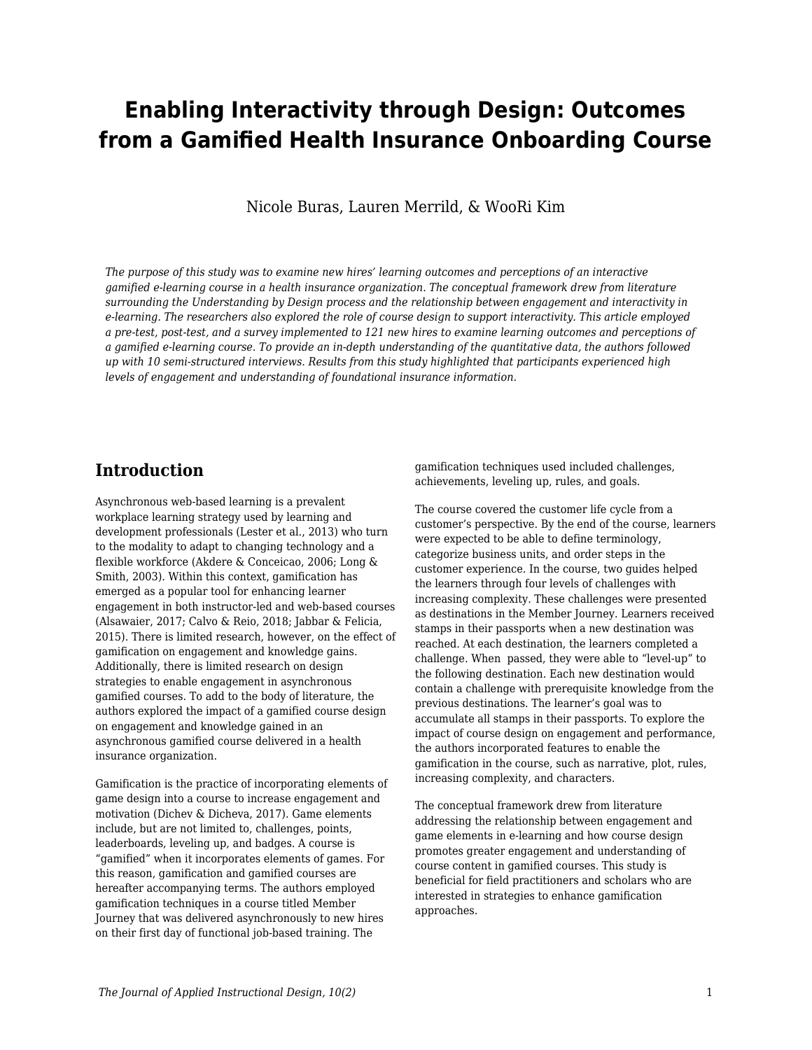# **Enabling Interactivity through Design: Outcomes from a Gamified Health Insurance Onboarding Course**

Nicole Buras, Lauren Merrild, & WooRi Kim

*The purpose of this study was to examine new hires' learning outcomes and perceptions of an interactive gamified e-learning course in a health insurance organization. The conceptual framework drew from literature surrounding the Understanding by Design process and the relationship between engagement and interactivity in e-learning. The researchers also explored the role of course design to support interactivity. This article employed a pre-test, post-test, and a survey implemented to 121 new hires to examine learning outcomes and perceptions of a gamified e-learning course. To provide an in-depth understanding of the quantitative data, the authors followed up with 10 semi-structured interviews. Results from this study highlighted that participants experienced high levels of engagement and understanding of foundational insurance information.*

## **Introduction**

Asynchronous web-based learning is a prevalent workplace learning strategy used by learning and development professionals (Lester et al., 2013) who turn to the modality to adapt to changing technology and a flexible workforce (Akdere & Conceicao, 2006; Long & Smith, 2003). Within this context, gamification has emerged as a popular tool for enhancing learner engagement in both instructor-led and web-based courses (Alsawaier, 2017; Calvo & Reio, 2018; Jabbar & Felicia, 2015). There is limited research, however, on the effect of gamification on engagement and knowledge gains. Additionally, there is limited research on design strategies to enable engagement in asynchronous gamified courses. To add to the body of literature, the authors explored the impact of a gamified course design on engagement and knowledge gained in an asynchronous gamified course delivered in a health insurance organization.

Gamification is the practice of incorporating elements of game design into a course to increase engagement and motivation (Dichev & Dicheva, 2017). Game elements include, but are not limited to, challenges, points, leaderboards, leveling up, and badges. A course is "gamified" when it incorporates elements of games. For this reason, gamification and gamified courses are hereafter accompanying terms. The authors employed gamification techniques in a course titled Member Journey that was delivered asynchronously to new hires on their first day of functional job-based training. The

gamification techniques used included challenges, achievements, leveling up, rules, and goals.

The course covered the customer life cycle from a customer's perspective. By the end of the course, learners were expected to be able to define terminology, categorize business units, and order steps in the customer experience. In the course, two guides helped the learners through four levels of challenges with increasing complexity. These challenges were presented as destinations in the Member Journey. Learners received stamps in their passports when a new destination was reached. At each destination, the learners completed a challenge. When passed, they were able to "level-up" to the following destination. Each new destination would contain a challenge with prerequisite knowledge from the previous destinations. The learner's goal was to accumulate all stamps in their passports. To explore the impact of course design on engagement and performance, the authors incorporated features to enable the gamification in the course, such as narrative, plot, rules, increasing complexity, and characters.

The conceptual framework drew from literature addressing the relationship between engagement and game elements in e-learning and how course design promotes greater engagement and understanding of course content in gamified courses. This study is beneficial for field practitioners and scholars who are interested in strategies to enhance gamification approaches.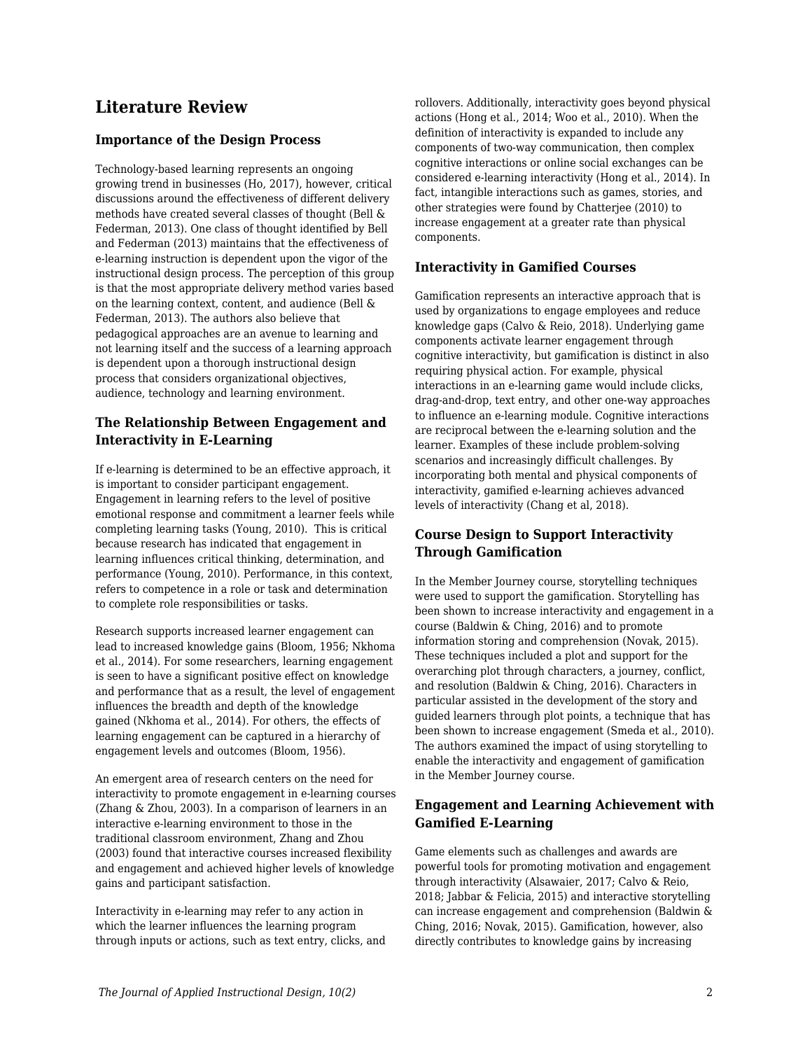## **Literature Review**

#### **Importance of the Design Process**

Technology-based learning represents an ongoing growing trend in businesses (Ho, 2017), however, critical discussions around the effectiveness of different delivery methods have created several classes of thought (Bell & Federman, 2013). One class of thought identified by Bell and Federman (2013) maintains that the effectiveness of e-learning instruction is dependent upon the vigor of the instructional design process. The perception of this group is that the most appropriate delivery method varies based on the learning context, content, and audience (Bell & Federman, 2013). The authors also believe that pedagogical approaches are an avenue to learning and not learning itself and the success of a learning approach is dependent upon a thorough instructional design process that considers organizational objectives, audience, technology and learning environment.

## **The Relationship Between Engagement and Interactivity in E-Learning**

If e-learning is determined to be an effective approach, it is important to consider participant engagement. Engagement in learning refers to the level of positive emotional response and commitment a learner feels while completing learning tasks (Young, 2010). This is critical because research has indicated that engagement in learning influences critical thinking, determination, and performance (Young, 2010). Performance, in this context, refers to competence in a role or task and determination to complete role responsibilities or tasks.

Research supports increased learner engagement can lead to increased knowledge gains (Bloom, 1956; Nkhoma et al., 2014). For some researchers, learning engagement is seen to have a significant positive effect on knowledge and performance that as a result, the level of engagement influences the breadth and depth of the knowledge gained (Nkhoma et al., 2014). For others, the effects of learning engagement can be captured in a hierarchy of engagement levels and outcomes (Bloom, 1956).

An emergent area of research centers on the need for interactivity to promote engagement in e-learning courses (Zhang & Zhou, 2003). In a comparison of learners in an interactive e-learning environment to those in the traditional classroom environment, Zhang and Zhou (2003) found that interactive courses increased flexibility and engagement and achieved higher levels of knowledge gains and participant satisfaction.

Interactivity in e-learning may refer to any action in which the learner influences the learning program through inputs or actions, such as text entry, clicks, and rollovers. Additionally, interactivity goes beyond physical actions (Hong et al., 2014; Woo et al., 2010). When the definition of interactivity is expanded to include any components of two-way communication, then complex cognitive interactions or online social exchanges can be considered e-learning interactivity (Hong et al., 2014). In fact, intangible interactions such as games, stories, and other strategies were found by Chatterjee (2010) to increase engagement at a greater rate than physical components.

### **Interactivity in Gamified Courses**

Gamification represents an interactive approach that is used by organizations to engage employees and reduce knowledge gaps (Calvo & Reio, 2018). Underlying game components activate learner engagement through cognitive interactivity, but gamification is distinct in also requiring physical action. For example, physical interactions in an e-learning game would include clicks, drag-and-drop, text entry, and other one-way approaches to influence an e-learning module. Cognitive interactions are reciprocal between the e-learning solution and the learner. Examples of these include problem-solving scenarios and increasingly difficult challenges. By incorporating both mental and physical components of interactivity, gamified e-learning achieves advanced levels of interactivity (Chang et al, 2018).

## **Course Design to Support Interactivity Through Gamification**

In the Member Journey course, storytelling techniques were used to support the gamification. Storytelling has been shown to increase interactivity and engagement in a course (Baldwin & Ching, 2016) and to promote information storing and comprehension (Novak, 2015). These techniques included a plot and support for the overarching plot through characters, a journey, conflict, and resolution (Baldwin & Ching, 2016). Characters in particular assisted in the development of the story and guided learners through plot points, a technique that has been shown to increase engagement (Smeda et al., 2010). The authors examined the impact of using storytelling to enable the interactivity and engagement of gamification in the Member Journey course.

### **Engagement and Learning Achievement with Gamified E-Learning**

Game elements such as challenges and awards are powerful tools for promoting motivation and engagement through interactivity (Alsawaier, 2017; Calvo & Reio, 2018; Jabbar & Felicia, 2015) and interactive storytelling can increase engagement and comprehension (Baldwin & Ching, 2016; Novak, 2015). Gamification, however, also directly contributes to knowledge gains by increasing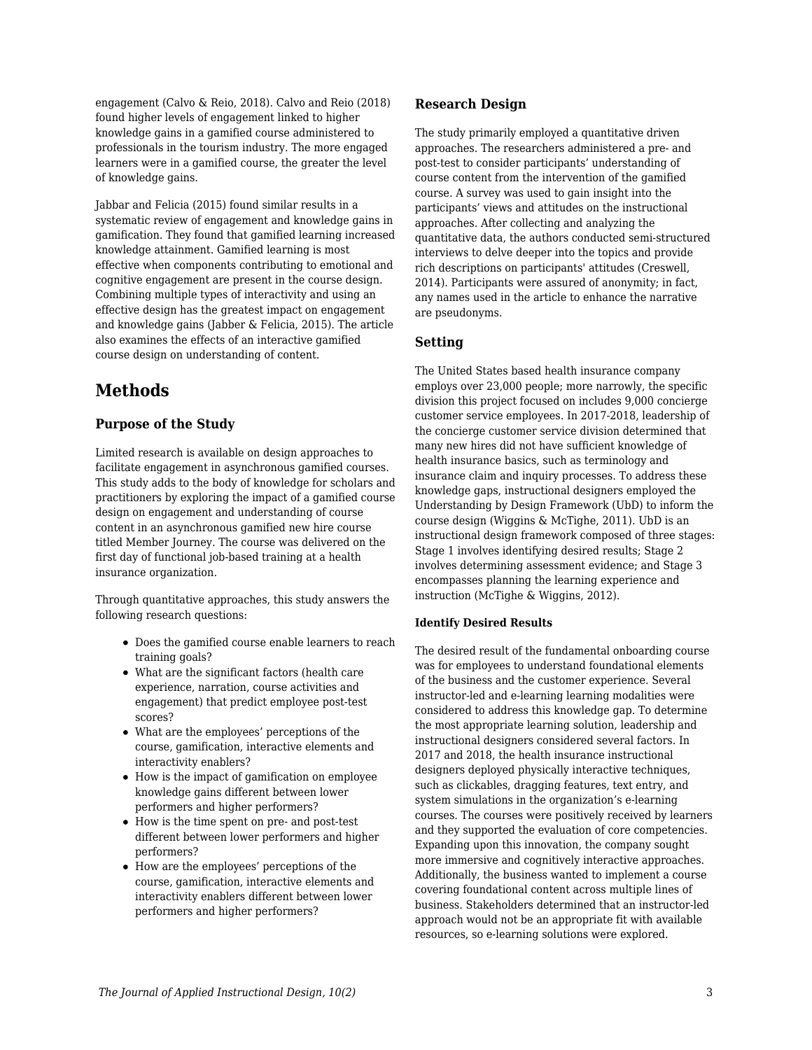engagement (Calvo & Reio, 2018). Calvo and Reio (2018) found higher levels of engagement linked to higher knowledge gains in a gamified course administered to professionals in the tourism industry. The more engaged learners were in a gamified course, the greater the level of knowledge gains.

Jabbar and Felicia (2015) found similar results in a systematic review of engagement and knowledge gains in gamification. They found that gamified learning increased knowledge attainment. Gamified learning is most effective when components contributing to emotional and cognitive engagement are present in the course design. Combining multiple types of interactivity and using an effective design has the greatest impact on engagement and knowledge gains (Jabber & Felicia, 2015). The article also examines the effects of an interactive gamified course design on understanding of content.

## **Methods**

### **Purpose of the Study**

Limited research is available on design approaches to facilitate engagement in asynchronous gamified courses. This study adds to the body of knowledge for scholars and practitioners by exploring the impact of a gamified course design on engagement and understanding of course content in an asynchronous gamified new hire course titled Member Journey. The course was delivered on the first day of functional job-based training at a health insurance organization.

Through quantitative approaches, this study answers the following research questions:

- Does the gamified course enable learners to reach training goals?
- What are the significant factors (health care experience, narration, course activities and engagement) that predict employee post-test scores?
- What are the employees' perceptions of the course, gamification, interactive elements and interactivity enablers?
- How is the impact of gamification on employee knowledge gains different between lower performers and higher performers?
- How is the time spent on pre- and post-test different between lower performers and higher performers?
- How are the employees' perceptions of the course, gamification, interactive elements and interactivity enablers different between lower performers and higher performers?

#### **Research Design**

The study primarily employed a quantitative driven approaches. The researchers administered a pre- and post-test to consider participants' understanding of course content from the intervention of the gamified course. A survey was used to gain insight into the participants' views and attitudes on the instructional approaches. After collecting and analyzing the quantitative data, the authors conducted semi-structured interviews to delve deeper into the topics and provide rich descriptions on participants' attitudes (Creswell, 2014). Participants were assured of anonymity; in fact, any names used in the article to enhance the narrative are pseudonyms.

### **Setting**

The United States based health insurance company employs over 23,000 people; more narrowly, the specific division this project focused on includes 9,000 concierge customer service employees. In 2017-2018, leadership of the concierge customer service division determined that many new hires did not have sufficient knowledge of health insurance basics, such as terminology and insurance claim and inquiry processes. To address these knowledge gaps, instructional designers employed the Understanding by Design Framework (UbD) to inform the course design (Wiggins & McTighe, 2011). UbD is an instructional design framework composed of three stages: Stage 1 involves identifying desired results; Stage 2 involves determining assessment evidence; and Stage 3 encompasses planning the learning experience and instruction (McTighe & Wiggins, 2012).

#### **Identify Desired Results**

The desired result of the fundamental onboarding course was for employees to understand foundational elements of the business and the customer experience. Several instructor-led and e-learning learning modalities were considered to address this knowledge gap. To determine the most appropriate learning solution, leadership and instructional designers considered several factors. In 2017 and 2018, the health insurance instructional designers deployed physically interactive techniques, such as clickables, dragging features, text entry, and system simulations in the organization's e-learning courses. The courses were positively received by learners and they supported the evaluation of core competencies. Expanding upon this innovation, the company sought more immersive and cognitively interactive approaches. Additionally, the business wanted to implement a course covering foundational content across multiple lines of business. Stakeholders determined that an instructor-led approach would not be an appropriate fit with available resources, so e-learning solutions were explored.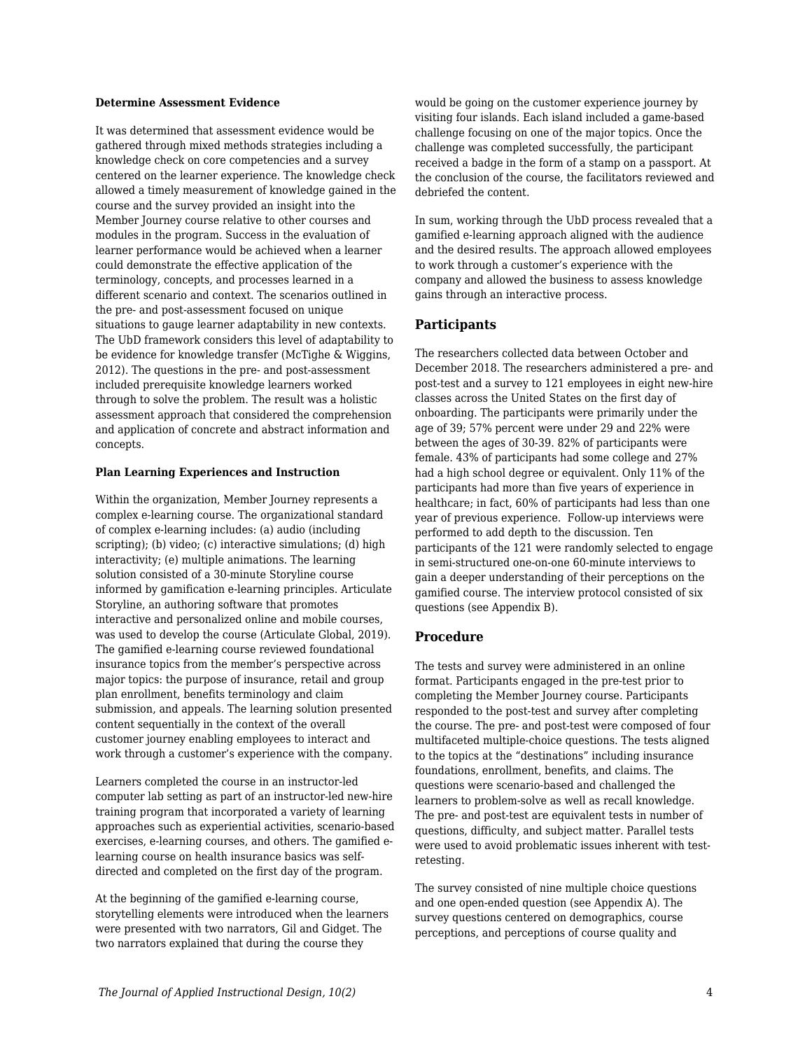#### **Determine Assessment Evidence**

It was determined that assessment evidence would be gathered through mixed methods strategies including a knowledge check on core competencies and a survey centered on the learner experience. The knowledge check allowed a timely measurement of knowledge gained in the course and the survey provided an insight into the Member Journey course relative to other courses and modules in the program. Success in the evaluation of learner performance would be achieved when a learner could demonstrate the effective application of the terminology, concepts, and processes learned in a different scenario and context. The scenarios outlined in the pre- and post-assessment focused on unique situations to gauge learner adaptability in new contexts. The UbD framework considers this level of adaptability to be evidence for knowledge transfer (McTighe & Wiggins, 2012). The questions in the pre- and post-assessment included prerequisite knowledge learners worked through to solve the problem. The result was a holistic assessment approach that considered the comprehension and application of concrete and abstract information and concepts.

#### **Plan Learning Experiences and Instruction**

Within the organization, Member Journey represents a complex e-learning course. The organizational standard of complex e-learning includes: (a) audio (including scripting); (b) video; (c) interactive simulations; (d) high interactivity; (e) multiple animations. The learning solution consisted of a 30-minute Storyline course informed by gamification e-learning principles. Articulate Storyline, an authoring software that promotes interactive and personalized online and mobile courses, was used to develop the course (Articulate Global, 2019). The gamified e-learning course reviewed foundational insurance topics from the member's perspective across major topics: the purpose of insurance, retail and group plan enrollment, benefits terminology and claim submission, and appeals. The learning solution presented content sequentially in the context of the overall customer journey enabling employees to interact and work through a customer's experience with the company.

Learners completed the course in an instructor-led computer lab setting as part of an instructor-led new-hire training program that incorporated a variety of learning approaches such as experiential activities, scenario-based exercises, e-learning courses, and others. The gamified elearning course on health insurance basics was selfdirected and completed on the first day of the program.

At the beginning of the gamified e-learning course, storytelling elements were introduced when the learners were presented with two narrators, Gil and Gidget. The two narrators explained that during the course they

would be going on the customer experience journey by visiting four islands. Each island included a game-based challenge focusing on one of the major topics. Once the challenge was completed successfully, the participant received a badge in the form of a stamp on a passport. At the conclusion of the course, the facilitators reviewed and debriefed the content.

In sum, working through the UbD process revealed that a gamified e-learning approach aligned with the audience and the desired results. The approach allowed employees to work through a customer's experience with the company and allowed the business to assess knowledge gains through an interactive process.

#### **Participants**

The researchers collected data between October and December 2018. The researchers administered a pre- and post-test and a survey to 121 employees in eight new-hire classes across the United States on the first day of onboarding. The participants were primarily under the age of 39; 57% percent were under 29 and 22% were between the ages of 30-39. 82% of participants were female. 43% of participants had some college and 27% had a high school degree or equivalent. Only 11% of the participants had more than five years of experience in healthcare; in fact, 60% of participants had less than one year of previous experience. Follow-up interviews were performed to add depth to the discussion. Ten participants of the 121 were randomly selected to engage in semi-structured one-on-one 60-minute interviews to gain a deeper understanding of their perceptions on the gamified course. The interview protocol consisted of six questions (see Appendix B).

#### **Procedure**

The tests and survey were administered in an online format. Participants engaged in the pre-test prior to completing the Member Journey course. Participants responded to the post-test and survey after completing the course. The pre- and post-test were composed of four multifaceted multiple-choice questions. The tests aligned to the topics at the "destinations" including insurance foundations, enrollment, benefits, and claims. The questions were scenario-based and challenged the learners to problem-solve as well as recall knowledge. The pre- and post-test are equivalent tests in number of questions, difficulty, and subject matter. Parallel tests were used to avoid problematic issues inherent with testretesting.

The survey consisted of nine multiple choice questions and one open-ended question (see Appendix A). The survey questions centered on demographics, course perceptions, and perceptions of course quality and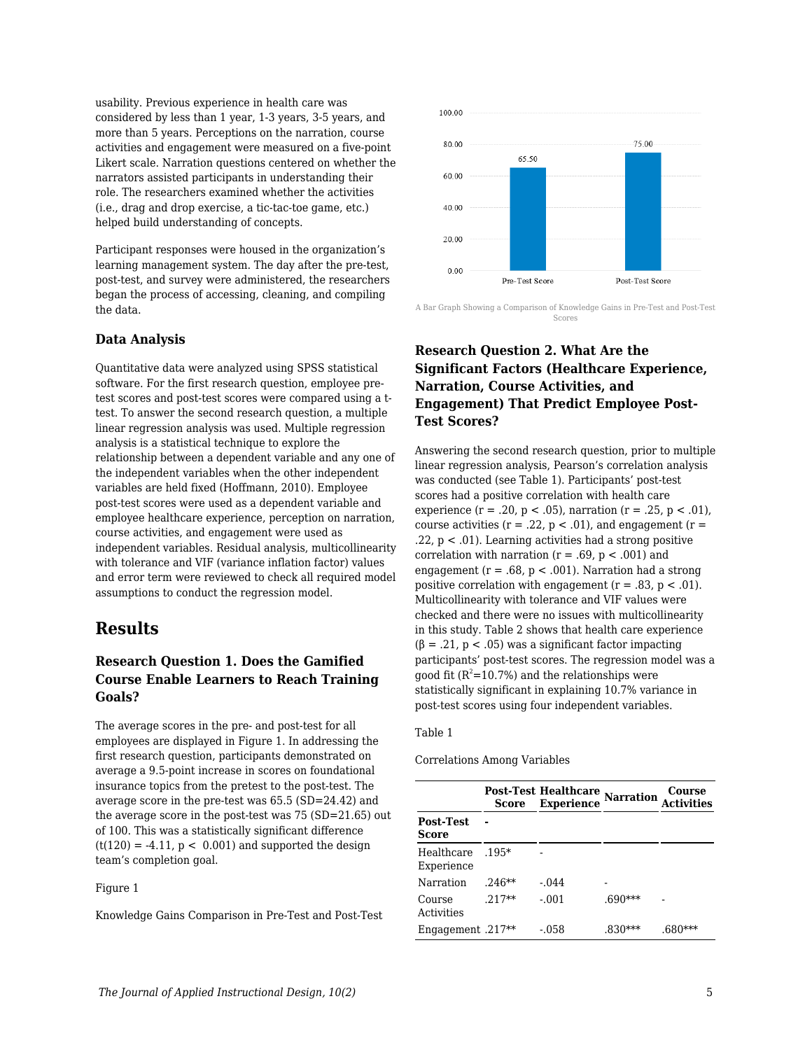usability. Previous experience in health care was considered by less than 1 year, 1-3 years, 3-5 years, and more than 5 years. Perceptions on the narration, course activities and engagement were measured on a five-point Likert scale. Narration questions centered on whether the narrators assisted participants in understanding their role. The researchers examined whether the activities (i.e., drag and drop exercise, a tic-tac-toe game, etc.) helped build understanding of concepts.

Participant responses were housed in the organization's learning management system. The day after the pre-test, post-test, and survey were administered, the researchers began the process of accessing, cleaning, and compiling the data.

#### **Data Analysis**

Quantitative data were analyzed using SPSS statistical software. For the first research question, employee pretest scores and post-test scores were compared using a ttest. To answer the second research question, a multiple linear regression analysis was used. Multiple regression analysis is a statistical technique to explore the relationship between a dependent variable and any one of the independent variables when the other independent variables are held fixed (Hoffmann, 2010). Employee post-test scores were used as a dependent variable and employee healthcare experience, perception on narration, course activities, and engagement were used as independent variables. Residual analysis, multicollinearity with tolerance and VIF (variance inflation factor) values and error term were reviewed to check all required model assumptions to conduct the regression model.

## **Results**

### **Research Question 1. Does the Gamified Course Enable Learners to Reach Training Goals?**

The average scores in the pre- and post-test for all employees are displayed in Figure 1. In addressing the first research question, participants demonstrated on average a 9.5-point increase in scores on foundational insurance topics from the pretest to the post-test. The average score in the pre-test was 65.5 (SD=24.42) and the average score in the post-test was 75 (SD=21.65) out of 100. This was a statistically significant difference  $(t(120) = -4.11, p < 0.001)$  and supported the design team's completion goal.

#### Figure 1

Knowledge Gains Comparison in Pre-Test and Post-Test



A Bar Graph Showing a Comparison of Knowledge Gains in Pre-Test and Post-Test Scores

## **Research Question 2. What Are the Significant Factors (Healthcare Experience, Narration, Course Activities, and Engagement) That Predict Employee Post-Test Scores?**

Answering the second research question, prior to multiple linear regression analysis, Pearson's correlation analysis was conducted (see Table 1). Participants' post-test scores had a positive correlation with health care experience (r = .20, p < .05), narration (r = .25, p < .01), course activities ( $r = .22$ ,  $p < .01$ ), and engagement ( $r =$ .22,  $p < .01$ ). Learning activities had a strong positive correlation with narration ( $r = .69$ ,  $p < .001$ ) and engagement ( $r = .68$ ,  $p < .001$ ). Narration had a strong positive correlation with engagement  $(r = .83, p < .01)$ . Multicollinearity with tolerance and VIF values were checked and there were no issues with multicollinearity in this study. Table 2 shows that health care experience  $(\beta = .21, p < .05)$  was a significant factor impacting participants' post-test scores. The regression model was a good fit  $(R^2=10.7\%)$  and the relationships were statistically significant in explaining 10.7% variance in post-test scores using four independent variables.

#### Table 1

Correlations Among Variables

|                          | Score    | <b>Post-Test Healthcare</b><br><b>Experience</b> | <b>Narration</b> | Course |  |
|--------------------------|----------|--------------------------------------------------|------------------|--------|--|
| Post-Test<br>Score       |          |                                                  |                  |        |  |
| Healthcare<br>Experience | $.195*$  |                                                  |                  |        |  |
| Narration                | $.246**$ | $-.044$                                          |                  |        |  |
| Course<br>Activities     | $.217**$ | $-.001$                                          | $.690***$        |        |  |
| $Engagement .217**$      |          | -.058                                            | .830             |        |  |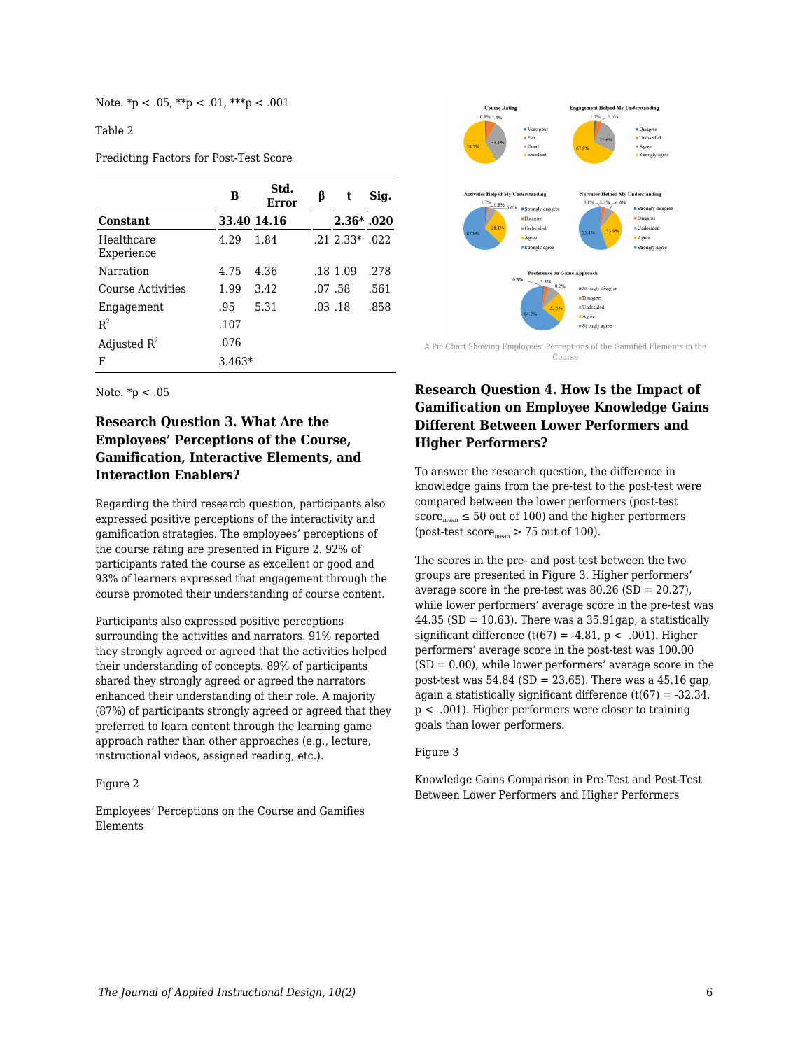Note.  $np < .05$ ,  $**p < .01$ ,  $***p < .001$ 

Table 2

Predicting Factors for Post-Test Score

|                          | в        | Std.<br>Error | ß | t                    | Sig. |
|--------------------------|----------|---------------|---|----------------------|------|
| <b>Constant</b>          |          | 33.40 14.16   |   | $2.36*$ .020         |      |
| Healthcare<br>Experience | 4.29     | 1.84          |   | $.21$ $2.33*$ $.022$ |      |
| Narration                | 4.75     | 4.36          |   | .18 1.09             | .278 |
| Course Activities        | 1.99     | 3.42          |   | .07.58               | .561 |
| Engagement               | .95      | 5.31          |   | $.03$ $.18$          | .858 |
| $R^2$                    | .107     |               |   |                      |      |
| Adjusted $R^2$           | .076     |               |   |                      |      |
| F                        | $3.463*$ |               |   |                      |      |



## **Research Question 3. What Are the Employees' Perceptions of the Course, Gamification, Interactive Elements, and Interaction Enablers?**

Regarding the third research question, participants also expressed positive perceptions of the interactivity and gamification strategies. The employees' perceptions of the course rating are presented in Figure 2. 92% of participants rated the course as excellent or good and 93% of learners expressed that engagement through the course promoted their understanding of course content.

Participants also expressed positive perceptions surrounding the activities and narrators. 91% reported they strongly agreed or agreed that the activities helped their understanding of concepts. 89% of participants shared they strongly agreed or agreed the narrators enhanced their understanding of their role. A majority (87%) of participants strongly agreed or agreed that they preferred to learn content through the learning game approach rather than other approaches (e.g., lecture, instructional videos, assigned reading, etc.).

#### Figure 2

Employees' Perceptions on the Course and Gamifies Elements



A Pie Chart Showing Employees' Perceptions of the Gamified Elements in the Course

## **Research Question 4. How Is the Impact of Gamification on Employee Knowledge Gains Different Between Lower Performers and Higher Performers?**

To answer the research question, the difference in knowledge gains from the pre-test to the post-test were compared between the lower performers (post-test score<sub>mean</sub>  $\leq$  50 out of 100) and the higher performers (post-test score $_{\text{mean}}$  > 75 out of 100).

The scores in the pre- and post-test between the two groups are presented in Figure 3. Higher performers' average score in the pre-test was 80.26 (SD = 20.27), while lower performers' average score in the pre-test was 44.35 (SD = 10.63). There was a 35.91gap, a statistically significant difference (t(67) = -4.81,  $p < .001$ ). Higher performers' average score in the post-test was 100.00  $(SD = 0.00)$ , while lower performers' average score in the post-test was 54.84 (SD = 23.65). There was a 45.16 gap, again a statistically significant difference  $(t(67) = -32.34$ , p < .001). Higher performers were closer to training goals than lower performers.

#### Figure 3

Knowledge Gains Comparison in Pre-Test and Post-Test Between Lower Performers and Higher Performers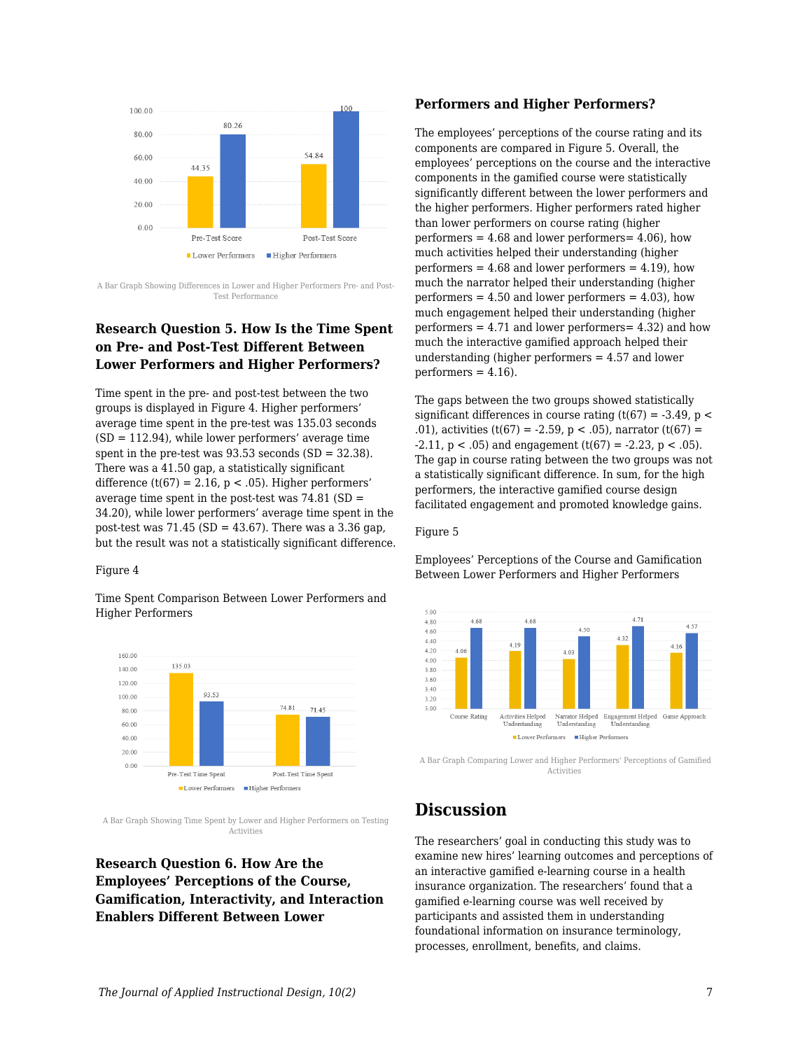

A Bar Graph Showing Differences in Lower and Higher Performers Pre- and Post-Test Performance

### **Research Question 5. How Is the Time Spent on Pre- and Post-Test Different Between Lower Performers and Higher Performers?**

Time spent in the pre- and post-test between the two groups is displayed in Figure 4. Higher performers' average time spent in the pre-test was 135.03 seconds (SD = 112.94), while lower performers' average time spent in the pre-test was 93.53 seconds (SD = 32.38). There was a 41.50 gap, a statistically significant difference (t(67) = 2.16,  $p < .05$ ). Higher performers' average time spent in the post-test was  $74.81$  (SD = 34.20), while lower performers' average time spent in the post-test was  $71.45$  (SD = 43.67). There was a 3.36 gap, but the result was not a statistically significant difference.

#### Figure 4

Time Spent Comparison Between Lower Performers and Higher Performers



A Bar Graph Showing Time Spent by Lower and Higher Performers on Testing Activities

## **Research Question 6. How Are the Employees' Perceptions of the Course, Gamification, Interactivity, and Interaction Enablers Different Between Lower**

#### **Performers and Higher Performers?**

The employees' perceptions of the course rating and its components are compared in Figure 5. Overall, the employees' perceptions on the course and the interactive components in the gamified course were statistically significantly different between the lower performers and the higher performers. Higher performers rated higher than lower performers on course rating (higher performers  $= 4.68$  and lower performers  $= 4.06$ ), how much activities helped their understanding (higher performers  $= 4.68$  and lower performers  $= 4.19$ ), how much the narrator helped their understanding (higher performers  $= 4.50$  and lower performers  $= 4.03$ ), how much engagement helped their understanding (higher performers  $= 4.71$  and lower performers  $= 4.32$ ) and how much the interactive gamified approach helped their understanding (higher performers = 4.57 and lower  $performs = 4.16$ .

The gaps between the two groups showed statistically significant differences in course rating  $(t(67) = -3.49, p <$ .01), activities (t(67) = -2.59, p < .05), narrator (t(67) =  $-2.11$ ,  $p < .05$ ) and engagement (t(67) =  $-2.23$ ,  $p < .05$ ). The gap in course rating between the two groups was not a statistically significant difference. In sum, for the high performers, the interactive gamified course design facilitated engagement and promoted knowledge gains.

#### Figure 5

Employees' Perceptions of the Course and Gamification Between Lower Performers and Higher Performers



A Bar Graph Comparing Lower and Higher Performers' Perceptions of Gamified Activities

## **Discussion**

The researchers' goal in conducting this study was to examine new hires' learning outcomes and perceptions of an interactive gamified e-learning course in a health insurance organization. The researchers' found that a gamified e-learning course was well received by participants and assisted them in understanding foundational information on insurance terminology, processes, enrollment, benefits, and claims.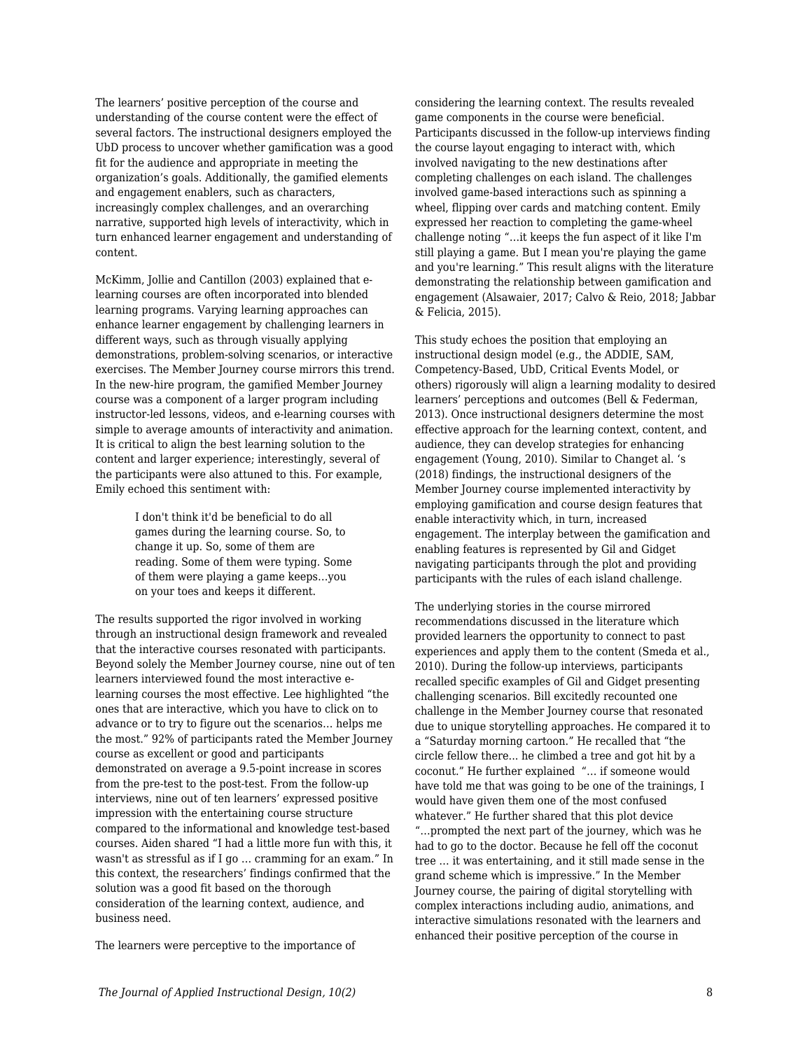The learners' positive perception of the course and understanding of the course content were the effect of several factors. The instructional designers employed the UbD process to uncover whether gamification was a good fit for the audience and appropriate in meeting the organization's goals. Additionally, the gamified elements and engagement enablers, such as characters, increasingly complex challenges, and an overarching narrative, supported high levels of interactivity, which in turn enhanced learner engagement and understanding of content.

McKimm, Jollie and Cantillon (2003) explained that elearning courses are often incorporated into blended learning programs. Varying learning approaches can enhance learner engagement by challenging learners in different ways, such as through visually applying demonstrations, problem-solving scenarios, or interactive exercises. The Member Journey course mirrors this trend. In the new-hire program, the gamified Member Journey course was a component of a larger program including instructor-led lessons, videos, and e-learning courses with simple to average amounts of interactivity and animation. It is critical to align the best learning solution to the content and larger experience; interestingly, several of the participants were also attuned to this. For example, Emily echoed this sentiment with:

> I don't think it'd be beneficial to do all games during the learning course. So, to change it up. So, some of them are reading. Some of them were typing. Some of them were playing a game keeps…you on your toes and keeps it different.

The results supported the rigor involved in working through an instructional design framework and revealed that the interactive courses resonated with participants. Beyond solely the Member Journey course, nine out of ten learners interviewed found the most interactive elearning courses the most effective. Lee highlighted "the ones that are interactive, which you have to click on to advance or to try to figure out the scenarios… helps me the most." 92% of participants rated the Member Journey course as excellent or good and participants demonstrated on average a 9.5-point increase in scores from the pre-test to the post-test. From the follow-up interviews, nine out of ten learners' expressed positive impression with the entertaining course structure compared to the informational and knowledge test-based courses. Aiden shared "I had a little more fun with this, it wasn't as stressful as if I go … cramming for an exam." In this context, the researchers' findings confirmed that the solution was a good fit based on the thorough consideration of the learning context, audience, and business need.

The learners were perceptive to the importance of

considering the learning context. The results revealed game components in the course were beneficial. Participants discussed in the follow-up interviews finding the course layout engaging to interact with, which involved navigating to the new destinations after completing challenges on each island. The challenges involved game-based interactions such as spinning a wheel, flipping over cards and matching content. Emily expressed her reaction to completing the game-wheel challenge noting "…it keeps the fun aspect of it like I'm still playing a game. But I mean you're playing the game and you're learning." This result aligns with the literature demonstrating the relationship between gamification and engagement (Alsawaier, 2017; Calvo & Reio, 2018; Jabbar & Felicia, 2015).

This study echoes the position that employing an instructional design model (e.g., the ADDIE, SAM, Competency-Based, UbD, Critical Events Model, or others) rigorously will align a learning modality to desired learners' perceptions and outcomes (Bell & Federman, 2013). Once instructional designers determine the most effective approach for the learning context, content, and audience, they can develop strategies for enhancing engagement (Young, 2010). Similar to Changet al. 's (2018) findings, the instructional designers of the Member Journey course implemented interactivity by employing gamification and course design features that enable interactivity which, in turn, increased engagement. The interplay between the gamification and enabling features is represented by Gil and Gidget navigating participants through the plot and providing participants with the rules of each island challenge.

The underlying stories in the course mirrored recommendations discussed in the literature which provided learners the opportunity to connect to past experiences and apply them to the content (Smeda et al., 2010). During the follow-up interviews, participants recalled specific examples of Gil and Gidget presenting challenging scenarios. Bill excitedly recounted one challenge in the Member Journey course that resonated due to unique storytelling approaches. He compared it to a "Saturday morning cartoon." He recalled that "the circle fellow there... he climbed a tree and got hit by a coconut." He further explained "… if someone would have told me that was going to be one of the trainings, I would have given them one of the most confused whatever." He further shared that this plot device "…prompted the next part of the journey, which was he had to go to the doctor. Because he fell off the coconut tree … it was entertaining, and it still made sense in the grand scheme which is impressive." In the Member Journey course, the pairing of digital storytelling with complex interactions including audio, animations, and interactive simulations resonated with the learners and enhanced their positive perception of the course in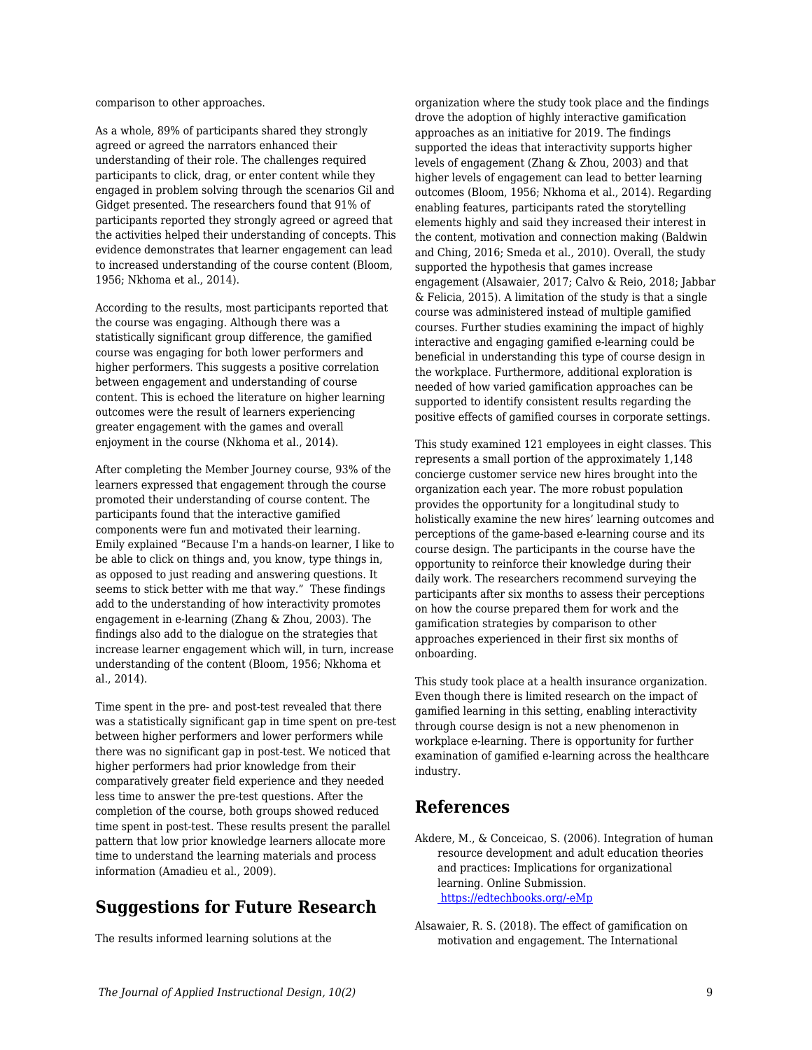comparison to other approaches.

As a whole, 89% of participants shared they strongly agreed or agreed the narrators enhanced their understanding of their role. The challenges required participants to click, drag, or enter content while they engaged in problem solving through the scenarios Gil and Gidget presented. The researchers found that 91% of participants reported they strongly agreed or agreed that the activities helped their understanding of concepts. This evidence demonstrates that learner engagement can lead to increased understanding of the course content (Bloom, 1956; Nkhoma et al., 2014).

According to the results, most participants reported that the course was engaging. Although there was a statistically significant group difference, the gamified course was engaging for both lower performers and higher performers. This suggests a positive correlation between engagement and understanding of course content. This is echoed the literature on higher learning outcomes were the result of learners experiencing greater engagement with the games and overall enjoyment in the course (Nkhoma et al., 2014).

After completing the Member Journey course, 93% of the learners expressed that engagement through the course promoted their understanding of course content. The participants found that the interactive gamified components were fun and motivated their learning. Emily explained "Because I'm a hands-on learner, I like to be able to click on things and, you know, type things in, as opposed to just reading and answering questions. It seems to stick better with me that way." These findings add to the understanding of how interactivity promotes engagement in e-learning (Zhang & Zhou, 2003). The findings also add to the dialogue on the strategies that increase learner engagement which will, in turn, increase understanding of the content (Bloom, 1956; Nkhoma et al., 2014).

Time spent in the pre- and post-test revealed that there was a statistically significant gap in time spent on pre-test between higher performers and lower performers while there was no significant gap in post-test. We noticed that higher performers had prior knowledge from their comparatively greater field experience and they needed less time to answer the pre-test questions. After the completion of the course, both groups showed reduced time spent in post-test. These results present the parallel pattern that low prior knowledge learners allocate more time to understand the learning materials and process information (Amadieu et al., 2009).

## **Suggestions for Future Research**

The results informed learning solutions at the

organization where the study took place and the findings drove the adoption of highly interactive gamification approaches as an initiative for 2019. The findings supported the ideas that interactivity supports higher levels of engagement (Zhang & Zhou, 2003) and that higher levels of engagement can lead to better learning outcomes (Bloom, 1956; Nkhoma et al., 2014). Regarding enabling features, participants rated the storytelling elements highly and said they increased their interest in the content, motivation and connection making (Baldwin and Ching, 2016; Smeda et al., 2010). Overall, the study supported the hypothesis that games increase engagement (Alsawaier, 2017; Calvo & Reio, 2018; Jabbar & Felicia, 2015). A limitation of the study is that a single course was administered instead of multiple gamified courses. Further studies examining the impact of highly interactive and engaging gamified e-learning could be beneficial in understanding this type of course design in the workplace. Furthermore, additional exploration is needed of how varied gamification approaches can be supported to identify consistent results regarding the positive effects of gamified courses in corporate settings.

This study examined 121 employees in eight classes. This represents a small portion of the approximately 1,148 concierge customer service new hires brought into the organization each year. The more robust population provides the opportunity for a longitudinal study to holistically examine the new hires' learning outcomes and perceptions of the game-based e-learning course and its course design. The participants in the course have the opportunity to reinforce their knowledge during their daily work. The researchers recommend surveying the participants after six months to assess their perceptions on how the course prepared them for work and the gamification strategies by comparison to other approaches experienced in their first six months of onboarding.

This study took place at a health insurance organization. Even though there is limited research on the impact of gamified learning in this setting, enabling interactivity through course design is not a new phenomenon in workplace e-learning. There is opportunity for further examination of gamified e-learning across the healthcare industry.

## **References**

- Akdere, M., & Conceicao, S. (2006). Integration of human resource development and adult education theories and practices: Implications for organizational learning. Online Submission. [https://edtechbooks.org/-eMp](http://www.ulib.niu.edu:2274/contentdelivery/servlet/ERICServlet?accno=ED492681)
- Alsawaier, R. S. (2018). The effect of gamification on motivation and engagement. The International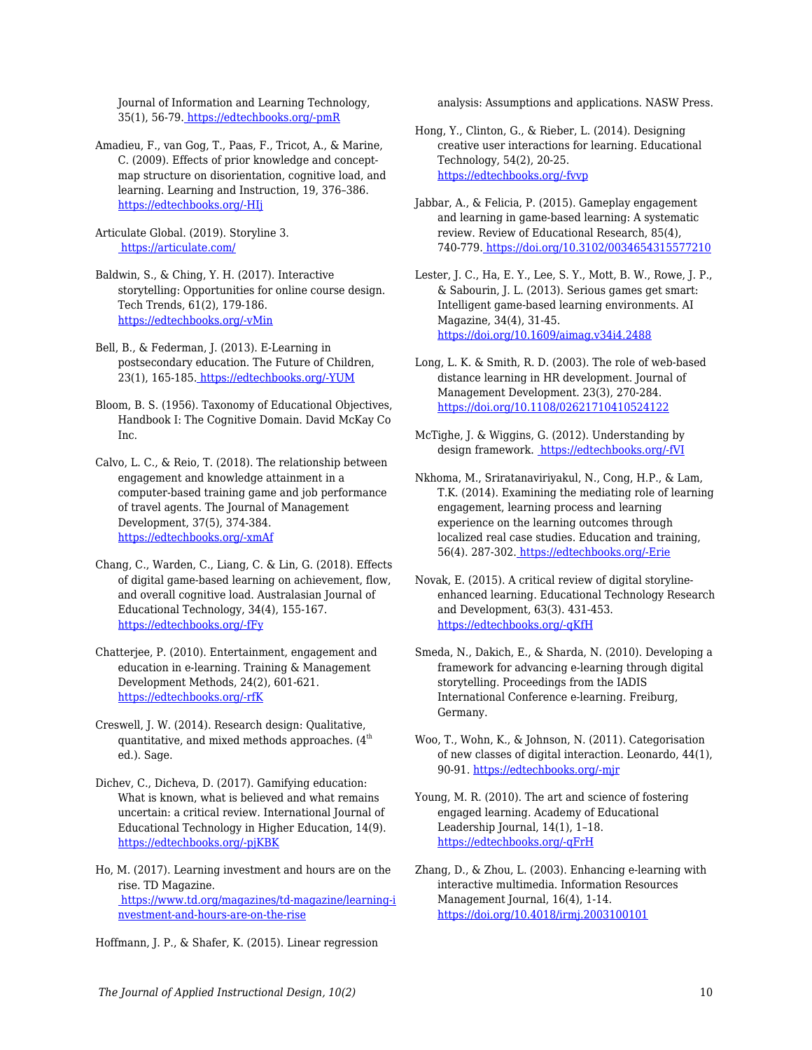Journal of Information and Learning Technology, 35(1), 56-79. [https://edtechbooks.org/-pmR](https://doi.org/10.1108/IJILT-02-2017-0009)

Amadieu, F., van Gog, T., Paas, F., Tricot, A., & Marine, C. (2009). Effects of prior knowledge and conceptmap structure on disorientation, cognitive load, and learning. Learning and Instruction, 19, 376–386. [https://edtechbooks.org/-HIj](https://doi.org/10.1016/j.learninstruc.2009.02.005)

Articulate Global. (2019). Storyline 3. <https://articulate.com/>

Baldwin, S., & Ching, Y. H. (2017). Interactive storytelling: Opportunities for online course design. Tech Trends, 61(2), 179-186. [https://edtechbooks.org/-vMin](https://doi.org/10.1007/s11528-016-0136-2)

Bell, B., & Federman, J. (2013). E-Learning in postsecondary education. The Future of Children, 23(1), 165-185. [https://edtechbooks.org/-YUM](https://doi.org/10.1353/foc.2013.0007)

- Bloom, B. S. (1956). Taxonomy of Educational Objectives, Handbook I: The Cognitive Domain. David McKay Co Inc.
- Calvo, L. C., & Reio, T. (2018). The relationship between engagement and knowledge attainment in a computer-based training game and job performance of travel agents. The Journal of Management Development, 37(5), 374-384. [https://edtechbooks.org/-xmAf](https://doi.org/10.1108/JMD-03-2017-0063)
- Chang, C., Warden, C., Liang, C. & Lin, G. (2018). Effects of digital game-based learning on achievement, flow, and overall cognitive load. Australasian Journal of Educational Technology, 34(4), 155-167. [https://edtechbooks.org/-fFy](https://doi.org/10.14742/ajet.2961)
- Chatterjee, P. (2010). Entertainment, engagement and education in e-learning. Training & Management Development Methods, 24(2), 601-621. [https://edtechbooks.org/-rfK](https://search-proquest-com.gatekeeper.chipublib.org/abicomplete/docview/202612033/2FB1A87A1B5D49FCPQ/30?accountid=303)
- Creswell, J. W. (2014). Research design: Qualitative, quantitative, and mixed methods approaches.  $(4<sup>th</sup>$ ed.). Sage.
- Dichev, C., Dicheva, D. (2017). Gamifying education: What is known, what is believed and what remains uncertain: a critical review. International Journal of Educational Technology in Higher Education, 14(9). [https://edtechbooks.org/-pjKBK](https://doi.org/10.1186/s41239-017-0042-5)
- Ho, M. (2017). Learning investment and hours are on the rise. TD Magazine.  [https://www.td.org/magazines/td-magazine/learning-i](https://www.td.org/magazines/td-magazine/learning-investment-and-hours-are-on-the-rise) [nvestment-and-hours-are-on-the-rise](https://www.td.org/magazines/td-magazine/learning-investment-and-hours-are-on-the-rise)

Hoffmann, J. P., & Shafer, K. (2015). Linear regression

analysis: Assumptions and applications. NASW Press.

- Hong, Y., Clinton, G., & Rieber, L. (2014). Designing creative user interactions for learning. Educational Technology, 54(2), 20-25. [https://edtechbooks.org/-fvvp](http://www.jstor.org.gatekeeper.chipublib.org/stable/44430249)
- Jabbar, A., & Felicia, P. (2015). Gameplay engagement and learning in game-based learning: A systematic review. Review of Educational Research, 85(4), 740-779[. https://doi.org/10.3102/0034654315577210](https://doi.org/10.3102/0034654315577210)
- Lester, J. C., Ha, E. Y., Lee, S. Y., Mott, B. W., Rowe, J. P., & Sabourin, J. L. (2013). Serious games get smart: Intelligent game-based learning environments. AI Magazine, 34(4), 31-45. <https://doi.org/10.1609/aimag.v34i4.2488>
- Long, L. K. & Smith, R. D. (2003). The role of web-based distance learning in HR development. Journal of Management Development. 23(3), 270-284. <https://doi.org/10.1108/02621710410524122>
- McTighe, J. & Wiggins, G. (2012). Understanding by design framework. [https://edtechbooks.org/-fVI](https://www.ascd.org/ASCD/pdf/siteASCD/publications/UbD_WhitePaper0312.pdf)
- Nkhoma, M., Sriratanaviriyakul, N., Cong, H.P., & Lam, T.K. (2014). Examining the mediating role of learning engagement, learning process and learning experience on the learning outcomes through localized real case studies. Education and training, 56(4). 287-302. [https://edtechbooks.org/-Erie](https://doi.org/10.1108/ET-01-2013-0005)
- Novak, E. (2015). A critical review of digital storylineenhanced learning. Educational Technology Research and Development, 63(3). 431-453. [https://edtechbooks.org/-qKfH](https://doi.org/10.1007/s11423-015-9372-y)
- Smeda, N., Dakich, E., & Sharda, N. (2010). Developing a framework for advancing e-learning through digital storytelling. Proceedings from the IADIS International Conference e-learning. Freiburg, Germany.
- Woo, T., Wohn, K., & Johnson, N. (2011). Categorisation of new classes of digital interaction. Leonardo, 44(1), 90-91. [https://edtechbooks.org/-mjr](http://www.jstor.org.gatekeeper.chipublib.org/stable/20869409)
- Young, M. R. (2010). The art and science of fostering engaged learning. Academy of Educational Leadership Journal, 14(1), 1–18. [https://edtechbooks.org/-qFrH](https://www.researchgate.net/publication/266862573_The_art_and_science_of_fostering_engaged_learning)
- Zhang, D., & Zhou, L. (2003). Enhancing e-learning with interactive multimedia. Information Resources Management Journal, 16(4), 1-14. <https://doi.org/10.4018/irmj.2003100101>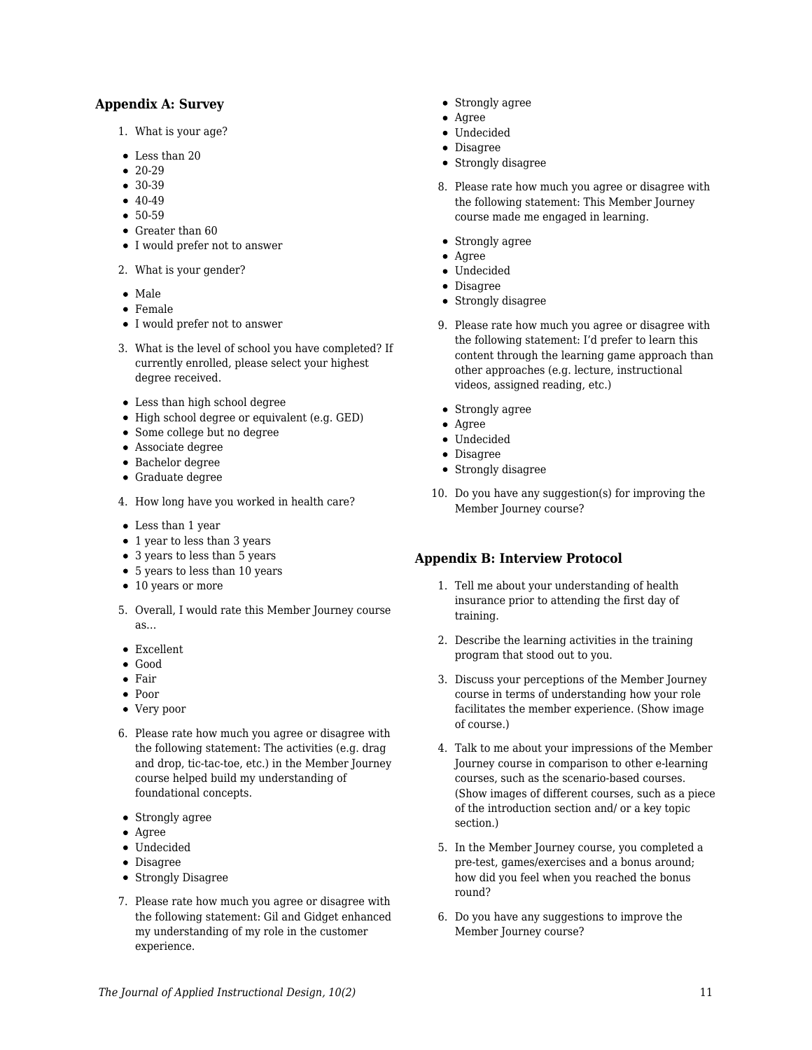#### **Appendix A: Survey**

- 1. What is your age?
- Less than 20
- $20-29$
- $30-39$
- $40-49$
- $50-59$
- Greater than 60
- I would prefer not to answer
- 2. What is your gender?
- Male
- Female
- I would prefer not to answer
- 3. What is the level of school you have completed? If currently enrolled, please select your highest degree received.
- Less than high school degree
- High school degree or equivalent (e.g. GED)
- Some college but no degree
- Associate degree
- Bachelor degree
- Graduate degree
- 4. How long have you worked in health care?
- Less than 1 year
- 1 year to less than 3 years
- 3 years to less than 5 years
- 5 years to less than 10 years
- 10 years or more
- 5. Overall, I would rate this Member Journey course as…
- Excellent
- Good
- Fair
- Poor
- Very poor
- 6. Please rate how much you agree or disagree with the following statement: The activities (e.g. drag and drop, tic-tac-toe, etc.) in the Member Journey course helped build my understanding of foundational concepts.
- Strongly agree
- Agree
- Undecided
- Disagree
- Strongly Disagree
- 7. Please rate how much you agree or disagree with the following statement: Gil and Gidget enhanced my understanding of my role in the customer experience.
- Strongly agree
- Agree
- Undecided
- Disagree
- Strongly disagree
- 8. Please rate how much you agree or disagree with the following statement: This Member Journey course made me engaged in learning.
- Strongly agree
- Agree
- Undecided
- Disagree
- Strongly disagree
- 9. Please rate how much you agree or disagree with the following statement: I'd prefer to learn this content through the learning game approach than other approaches (e.g. lecture, instructional videos, assigned reading, etc.)
- Strongly agree
- Agree
- Undecided
- Disagree
- Strongly disagree
- 10. Do you have any suggestion(s) for improving the Member Journey course?

#### **Appendix B: Interview Protocol**

- 1. Tell me about your understanding of health insurance prior to attending the first day of training.
- 2. Describe the learning activities in the training program that stood out to you.
- 3. Discuss your perceptions of the Member Journey course in terms of understanding how your role facilitates the member experience. (Show image of course.)
- 4. Talk to me about your impressions of the Member Journey course in comparison to other e-learning courses, such as the scenario-based courses. (Show images of different courses, such as a piece of the introduction section and/ or a key topic section.)
- 5. In the Member Journey course, you completed a pre-test, games/exercises and a bonus around; how did you feel when you reached the bonus round?
- 6. Do you have any suggestions to improve the Member Journey course?